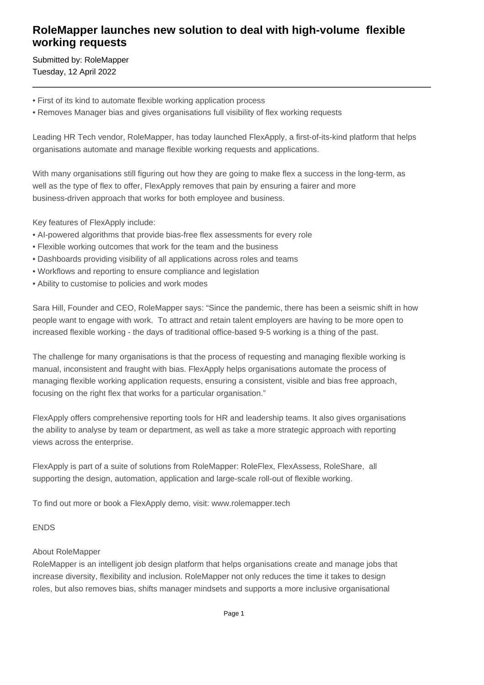## **RoleMapper launches new solution to deal with high-volume flexible working requests**

Submitted by: RoleMapper Tuesday, 12 April 2022

- First of its kind to automate flexible working application process
- Removes Manager bias and gives organisations full visibility of flex working requests

Leading HR Tech vendor, RoleMapper, has today launched FlexApply, a first-of-its-kind platform that helps organisations automate and manage flexible working requests and applications.

With many organisations still figuring out how they are going to make flex a success in the long-term, as well as the type of flex to offer, FlexApply removes that pain by ensuring a fairer and more business-driven approach that works for both employee and business.

Key features of FlexApply include:

- AI-powered algorithms that provide bias-free flex assessments for every role
- Flexible working outcomes that work for the team and the business
- Dashboards providing visibility of all applications across roles and teams
- Workflows and reporting to ensure compliance and legislation
- Ability to customise to policies and work modes

Sara Hill, Founder and CEO, RoleMapper says: "Since the pandemic, there has been a seismic shift in how people want to engage with work. To attract and retain talent employers are having to be more open to increased flexible working - the days of traditional office-based 9-5 working is a thing of the past.

The challenge for many organisations is that the process of requesting and managing flexible working is manual, inconsistent and fraught with bias. FlexApply helps organisations automate the process of managing flexible working application requests, ensuring a consistent, visible and bias free approach, focusing on the right flex that works for a particular organisation."

FlexApply offers comprehensive reporting tools for HR and leadership teams. It also gives organisations the ability to analyse by team or department, as well as take a more strategic approach with reporting views across the enterprise.

FlexApply is part of a suite of solutions from RoleMapper: RoleFlex, FlexAssess, RoleShare, all supporting the design, automation, application and large-scale roll-out of flexible working.

To find out more or book a FlexApply demo, visit: www.rolemapper.tech

## ENDS

## About RoleMapper

RoleMapper is an intelligent job design platform that helps organisations create and manage jobs that increase diversity, flexibility and inclusion. RoleMapper not only reduces the time it takes to design roles, but also removes bias, shifts manager mindsets and supports a more inclusive organisational